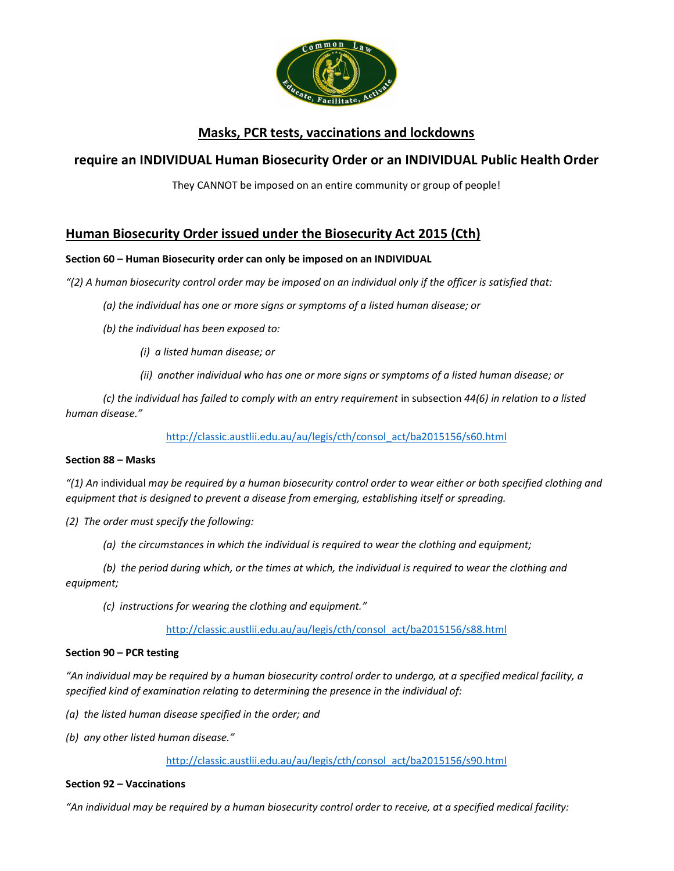

# Masks, PCR tests, vaccinations and lockdowns

## require an INDIVIDUAL Human Biosecurity Order or an INDIVIDUAL Public Health Order

They CANNOT be imposed on an entire community or group of people!

## Human Biosecurity Order issued under the Biosecurity Act 2015 (Cth)

### Section 60 – Human Biosecurity order can only be imposed on an INDIVIDUAL

"(2) A human biosecurity control order may be imposed on an individual only if the officer is satisfied that:

- (a) the individual has one or more signs or symptoms of a listed human disease; or
- (b) the individual has been exposed to:
	- (i) a listed human disease; or
	- (ii) another individual who has one or more signs or symptoms of a listed human disease; or

(c) the individual has failed to comply with an entry requirement in subsection 44(6) in relation to a listed human disease."

http://classic.austlii.edu.au/au/legis/cth/consol\_act/ba2015156/s60.html

### Section 88 – Masks

"(1) An individual may be required by a human biosecurity control order to wear either or both specified clothing and equipment that is designed to prevent a disease from emerging, establishing itself or spreading.

- (2) The order must specify the following:
	- (a) the circumstances in which the individual is required to wear the clothing and equipment;

(b) the period during which, or the times at which, the individual is required to wear the clothing and equipment;

(c) instructions for wearing the clothing and equipment."

http://classic.austlii.edu.au/au/legis/cth/consol\_act/ba2015156/s88.html

### Section 90 – PCR testing

"An individual may be required by a human biosecurity control order to undergo, at a specified medical facility, a specified kind of examination relating to determining the presence in the individual of:

- (a) the listed human disease specified in the order; and
- (b) any other listed human disease."

http://classic.austlii.edu.au/au/legis/cth/consol\_act/ba2015156/s90.html

### Section 92 – Vaccinations

"An individual may be required by a human biosecurity control order to receive, at a specified medical facility: